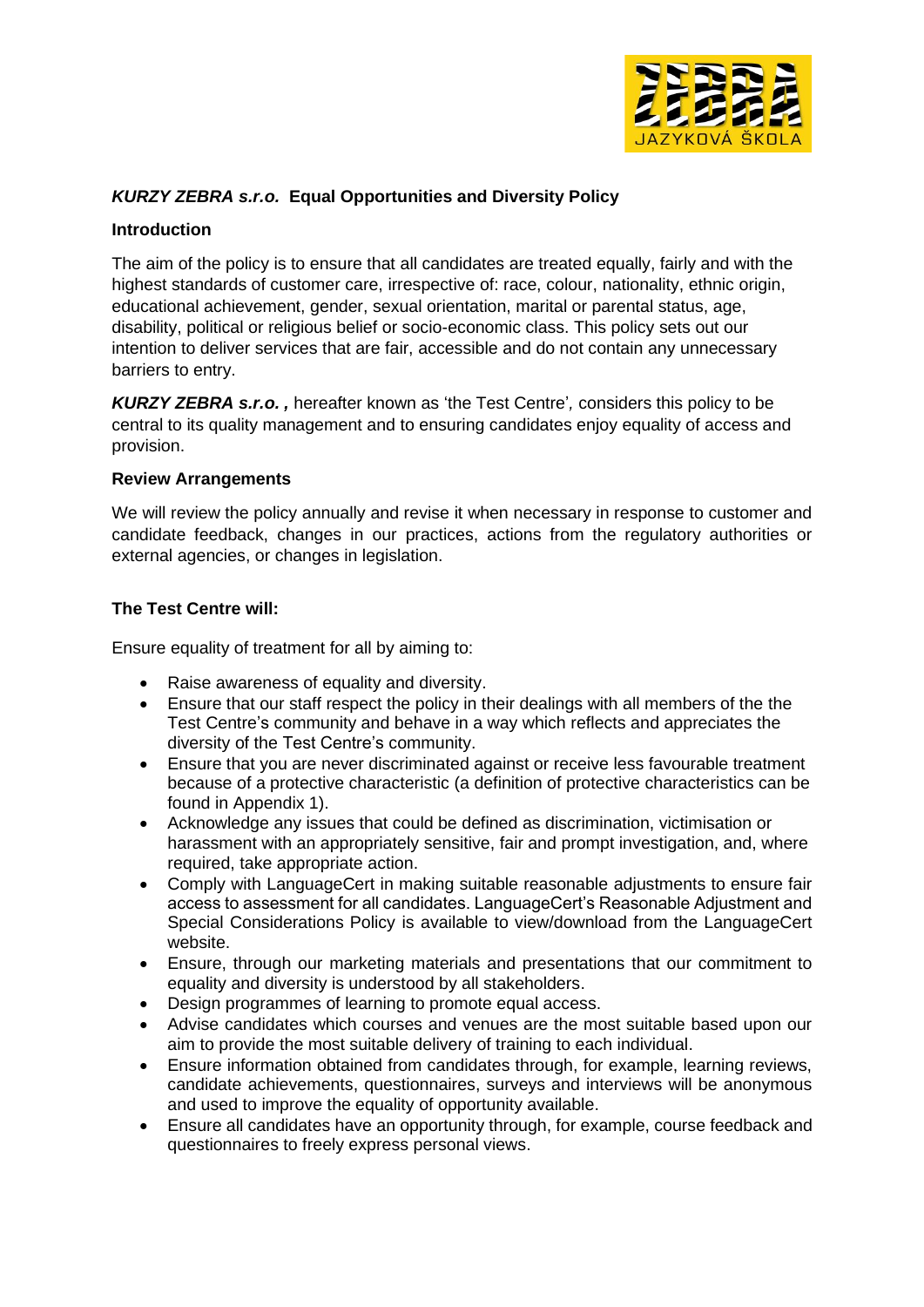

# *KURZY ZEBRA s.r.o.* **Equal Opportunities and Diversity Policy**

## **Introduction**

The aim of the policy is to ensure that all candidates are treated equally, fairly and with the highest standards of customer care, irrespective of: race, colour, nationality, ethnic origin, educational achievement, gender, sexual orientation, marital or parental status, age, disability, political or religious belief or socio-economic class. This policy sets out our intention to deliver services that are fair, accessible and do not contain any unnecessary barriers to entry.

*KURZY ZEBRA s.r.o. ,* hereafter known as 'the Test Centre'*,* considers this policy to be central to its quality management and to ensuring candidates enjoy equality of access and provision.

#### **Review Arrangements**

We will review the policy annually and revise it when necessary in response to customer and candidate feedback, changes in our practices, actions from the regulatory authorities or external agencies, or changes in legislation.

## **The Test Centre will:**

Ensure equality of treatment for all by aiming to:

- Raise awareness of equality and diversity.
- Ensure that our staff respect the policy in their dealings with all members of the the Test Centre's community and behave in a way which reflects and appreciates the diversity of the Test Centre's community.
- Ensure that you are never discriminated against or receive less favourable treatment because of a protective characteristic (a definition of protective characteristics can be found in Appendix 1).
- Acknowledge any issues that could be defined as discrimination, victimisation or harassment with an appropriately sensitive, fair and prompt investigation, and, where required, take appropriate action.
- Comply with LanguageCert in making suitable reasonable adjustments to ensure fair access to assessment for all candidates. LanguageCert's Reasonable Adjustment and Special Considerations Policy is available to view/download from the LanguageCert website.
- Ensure, through our marketing materials and presentations that our commitment to equality and diversity is understood by all stakeholders.
- Design programmes of learning to promote equal access.
- Advise candidates which courses and venues are the most suitable based upon our aim to provide the most suitable delivery of training to each individual.
- Ensure information obtained from candidates through, for example, learning reviews, candidate achievements, questionnaires, surveys and interviews will be anonymous and used to improve the equality of opportunity available.
- Ensure all candidates have an opportunity through, for example, course feedback and questionnaires to freely express personal views.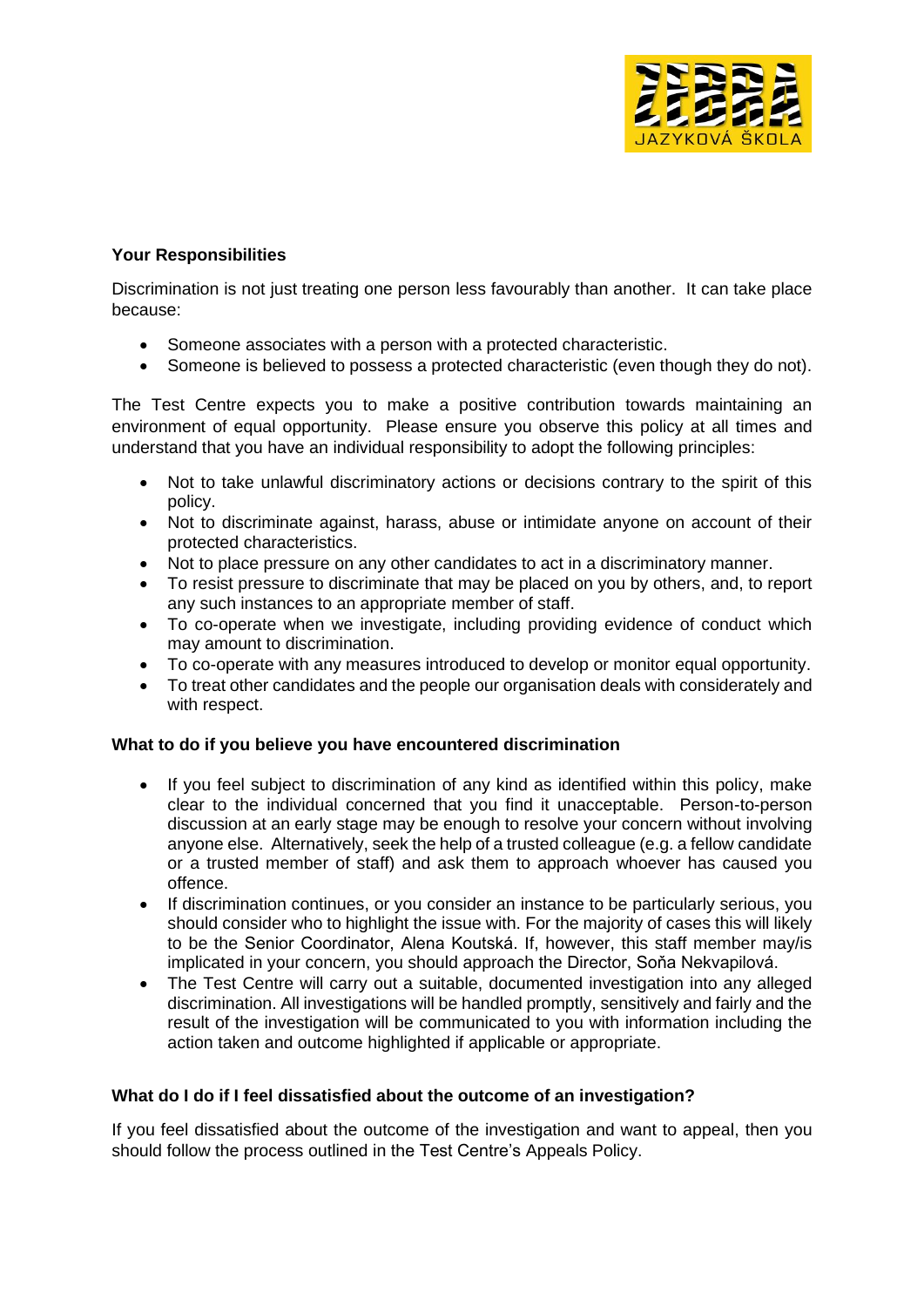

## **Your Responsibilities**

Discrimination is not just treating one person less favourably than another. It can take place because:

- Someone associates with a person with a protected characteristic.
- Someone is believed to possess a protected characteristic (even though they do not).

The Test Centre expects you to make a positive contribution towards maintaining an environment of equal opportunity. Please ensure you observe this policy at all times and understand that you have an individual responsibility to adopt the following principles:

- Not to take unlawful discriminatory actions or decisions contrary to the spirit of this policy.
- Not to discriminate against, harass, abuse or intimidate anyone on account of their protected characteristics.
- Not to place pressure on any other candidates to act in a discriminatory manner.
- To resist pressure to discriminate that may be placed on you by others, and, to report any such instances to an appropriate member of staff.
- To co-operate when we investigate, including providing evidence of conduct which may amount to discrimination.
- To co-operate with any measures introduced to develop or monitor equal opportunity.
- To treat other candidates and the people our organisation deals with considerately and with respect.

#### **What to do if you believe you have encountered discrimination**

- If you feel subject to discrimination of any kind as identified within this policy, make clear to the individual concerned that you find it unacceptable. Person-to-person discussion at an early stage may be enough to resolve your concern without involving anyone else. Alternatively, seek the help of a trusted colleague (e.g. a fellow candidate or a trusted member of staff) and ask them to approach whoever has caused you offence.
- If discrimination continues, or you consider an instance to be particularly serious, you should consider who to highlight the issue with. For the majority of cases this will likely to be the Senior Coordinator, Alena Koutská. If, however, this staff member may/is implicated in your concern, you should approach the Director, Soňa Nekvapilová.
- The Test Centre will carry out a suitable, documented investigation into any alleged discrimination. All investigations will be handled promptly, sensitively and fairly and the result of the investigation will be communicated to you with information including the action taken and outcome highlighted if applicable or appropriate.

#### **What do I do if I feel dissatisfied about the outcome of an investigation?**

If you feel dissatisfied about the outcome of the investigation and want to appeal, then you should follow the process outlined in the Test Centre's Appeals Policy.